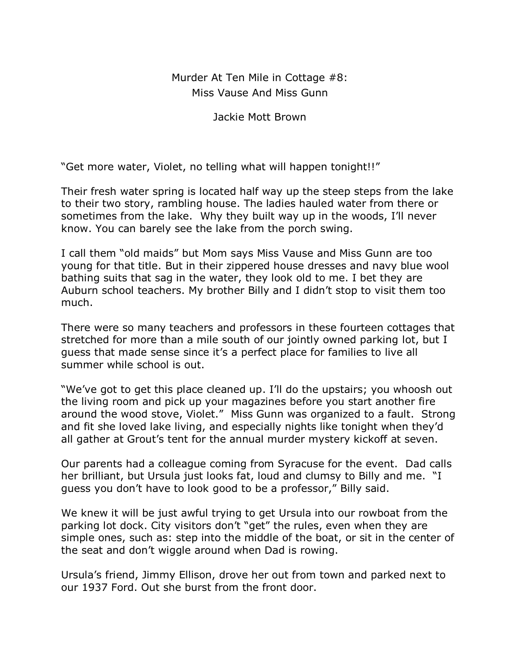## Murder At Ten Mile in Cottage #8: Miss Vause And Miss Gunn

Jackie Mott Brown

"Get more water, Violet, no telling what will happen tonight!!"

Their fresh water spring is located half way up the steep steps from the lake to their two story, rambling house. The ladies hauled water from there or sometimes from the lake. Why they built way up in the woods, I'll never know. You can barely see the lake from the porch swing.

I call them "old maids" but Mom says Miss Vause and Miss Gunn are too young for that title. But in their zippered house dresses and navy blue wool bathing suits that sag in the water, they look old to me. I bet they are Auburn school teachers. My brother Billy and I didn't stop to visit them too much.

There were so many teachers and professors in these fourteen cottages that stretched for more than a mile south of our jointly owned parking lot, but I guess that made sense since it's a perfect place for families to live all summer while school is out.

"We've got to get this place cleaned up. I'll do the upstairs; you whoosh out the living room and pick up your magazines before you start another fire around the wood stove, Violet." Miss Gunn was organized to a fault. Strong and fit she loved lake living, and especially nights like tonight when they'd all gather at Grout's tent for the annual murder mystery kickoff at seven.

Our parents had a colleague coming from Syracuse for the event. Dad calls her brilliant, but Ursula just looks fat, loud and clumsy to Billy and me. "I guess you don't have to look good to be a professor," Billy said.

We knew it will be just awful trying to get Ursula into our rowboat from the parking lot dock. City visitors don't "get" the rules, even when they are simple ones, such as: step into the middle of the boat, or sit in the center of the seat and don't wiggle around when Dad is rowing.

Ursula's friend, Jimmy Ellison, drove her out from town and parked next to our 1937 Ford. Out she burst from the front door.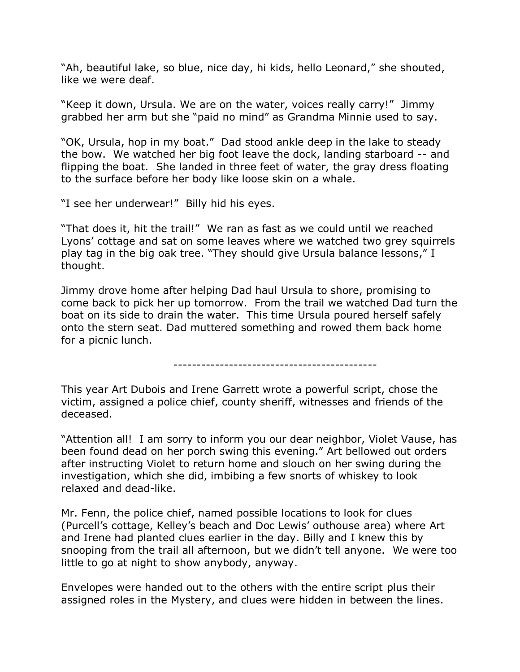"Ah, beautiful lake, so blue, nice day, hi kids, hello Leonard," she shouted, like we were deaf.

"Keep it down, Ursula. We are on the water, voices really carry!" Jimmy grabbed her arm but she "paid no mind" as Grandma Minnie used to say.

"OK, Ursula, hop in my boat." Dad stood ankle deep in the lake to steady the bow. We watched her big foot leave the dock, landing starboard -- and flipping the boat. She landed in three feet of water, the gray dress floating to the surface before her body like loose skin on a whale.

"I see her underwear!" Billy hid his eyes.

"That does it, hit the trail!" We ran as fast as we could until we reached Lyons' cottage and sat on some leaves where we watched two grey squirrels play tag in the big oak tree. "They should give Ursula balance lessons," I thought.

Jimmy drove home after helping Dad haul Ursula to shore, promising to come back to pick her up tomorrow. From the trail we watched Dad turn the boat on its side to drain the water. This time Ursula poured herself safely onto the stern seat. Dad muttered something and rowed them back home for a picnic lunch.

--------------------------------------------

This year Art Dubois and Irene Garrett wrote a powerful script, chose the victim, assigned a police chief, county sheriff, witnesses and friends of the deceased.

"Attention all! I am sorry to inform you our dear neighbor, Violet Vause, has been found dead on her porch swing this evening." Art bellowed out orders after instructing Violet to return home and slouch on her swing during the investigation, which she did, imbibing a few snorts of whiskey to look relaxed and dead-like.

Mr. Fenn, the police chief, named possible locations to look for clues (Purcell's cottage, Kelley's beach and Doc Lewis' outhouse area) where Art and Irene had planted clues earlier in the day. Billy and I knew this by snooping from the trail all afternoon, but we didn't tell anyone. We were too little to go at night to show anybody, anyway.

Envelopes were handed out to the others with the entire script plus their assigned roles in the Mystery, and clues were hidden in between the lines.